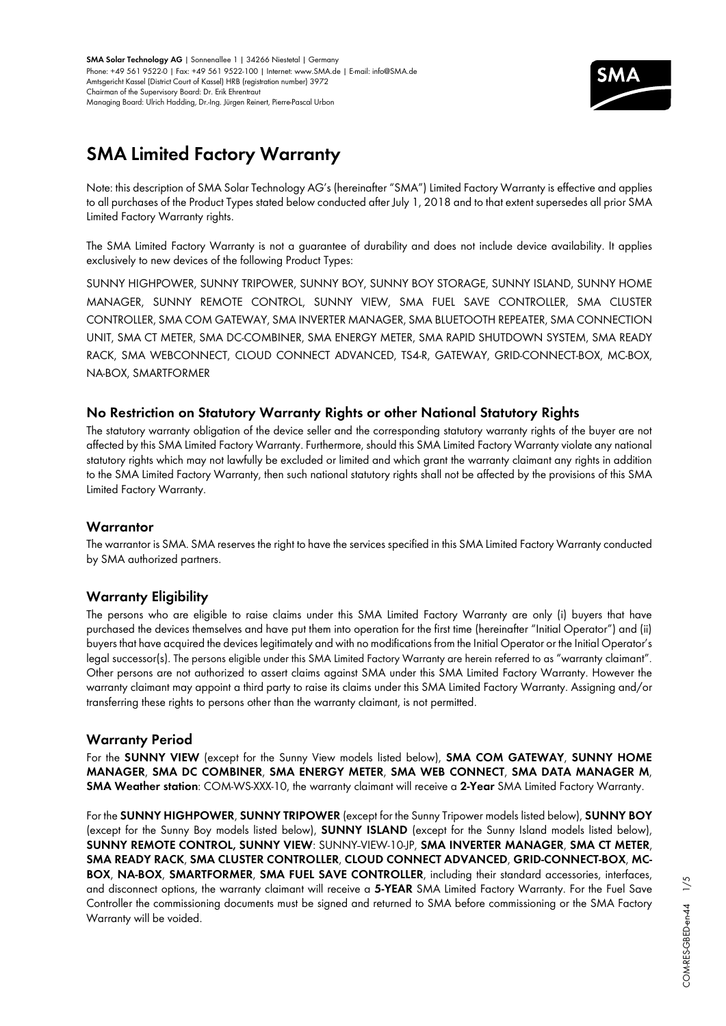

# **SMA Limited Factory Warranty**

Note: this description of SMA Solar Technology AG's (hereinafter "SMA") Limited Factory Warranty is effective and applies to all purchases of the Product Types stated below conducted after July 1, 2018 and to that extent supersedes all prior SMA Limited Factory Warranty rights.

The SMA Limited Factory Warranty is not a guarantee of durability and does not include device availability. It applies exclusively to new devices of the following Product Types:

SUNNY HIGHPOWER, SUNNY TRIPOWER, SUNNY BOY, SUNNY BOY STORAGE, SUNNY ISLAND, SUNNY HOME MANAGER, SUNNY REMOTE CONTROL, SUNNY VIEW, SMA FUEL SAVE CONTROLLER, SMA CLUSTER CONTROLLER, SMA COM GATEWAY, SMA INVERTER MANAGER, SMA BLUETOOTH REPEATER, SMA CONNECTION UNIT, SMA CT METER, SMA DC-COMBINER, SMA ENERGY METER, SMA RAPID SHUTDOWN SYSTEM, SMA READY RACK, SMA WEBCONNECT, CLOUD CONNECT ADVANCED, TS4-R, GATEWAY, GRID-CONNECT-BOX, MC-BOX, NA-BOX, SMARTFORMER

## **No Restriction on Statutory Warranty Rights or other National Statutory Rights**

The statutory warranty obligation of the device seller and the corresponding statutory warranty rights of the buyer are not affected by this SMA Limited Factory Warranty. Furthermore, should this SMA Limited Factory Warranty violate any national statutory rights which may not lawfully be excluded or limited and which grant the warranty claimant any rights in addition to the SMA Limited Factory Warranty, then such national statutory rights shall not be affected by the provisions of this SMA Limited Factory Warranty.

## **Warrantor**

The warrantor is SMA. SMA reserves the right to have the services specified in this SMA Limited Factory Warranty conducted by SMA authorized partners.

## **Warranty Eligibility**

The persons who are eligible to raise claims under this SMA Limited Factory Warranty are only (i) buyers that have purchased the devices themselves and have put them into operation for the first time (hereinafter "Initial Operator") and (ii) buyers that have acquired the devices legitimately and with no modifications from the Initial Operator or the Initial Operator's legal successor(s). The persons eligible under this SMA Limited Factory Warranty are herein referred to as "warranty claimant". Other persons are not authorized to assert claims against SMA under this SMA Limited Factory Warranty. However the warranty claimant may appoint a third party to raise its claims under this SMA Limited Factory Warranty. Assigning and/or transferring these rights to persons other than the warranty claimant, is not permitted.

## **Warranty Period**

For the **SUNNY VIEW** (except for the Sunny View models listed below), **SMA COM GATEWAY**, **SUNNY HOME MANAGER**, **SMA DC COMBINER**, **SMA ENERGY METER**, **SMA WEB CONNECT**, **SMA DATA MANAGER M**, **SMA Weather station**: COM-WS-XXX-10, the warranty claimant will receive a **2-Year** SMA Limited Factory Warranty.

For the **SUNNY HIGHPOWER**, **SUNNY TRIPOWER** (except for the Sunny Tripower models listed below), **SUNNY BOY** (except for the Sunny Boy models listed below), **SUNNY ISLAND** (except for the Sunny Island models listed below), **SUNNY REMOTE CONTROL, SUNNY VIEW**: SUNNY VIEW-10-JP, **SMA INVERTER MANAGER**, **SMA CT METER**, **SMA READY RACK**, **SMA CLUSTER CONTROLLER**, **CLOUD CONNECT ADVANCED**, **GRID-CONNECT-BOX**, **MC-BOX**, **NA-BOX**, **SMARTFORMER**, **SMA FUEL SAVE CONTROLLER**, including their standard accessories, interfaces, and disconnect options, the warranty claimant will receive a **5-YEAR** SMA Limited Factory Warranty. For the Fuel Save Controller the commissioning documents must be signed and returned to SMA before commissioning or the SMA Factory Warranty will be voided.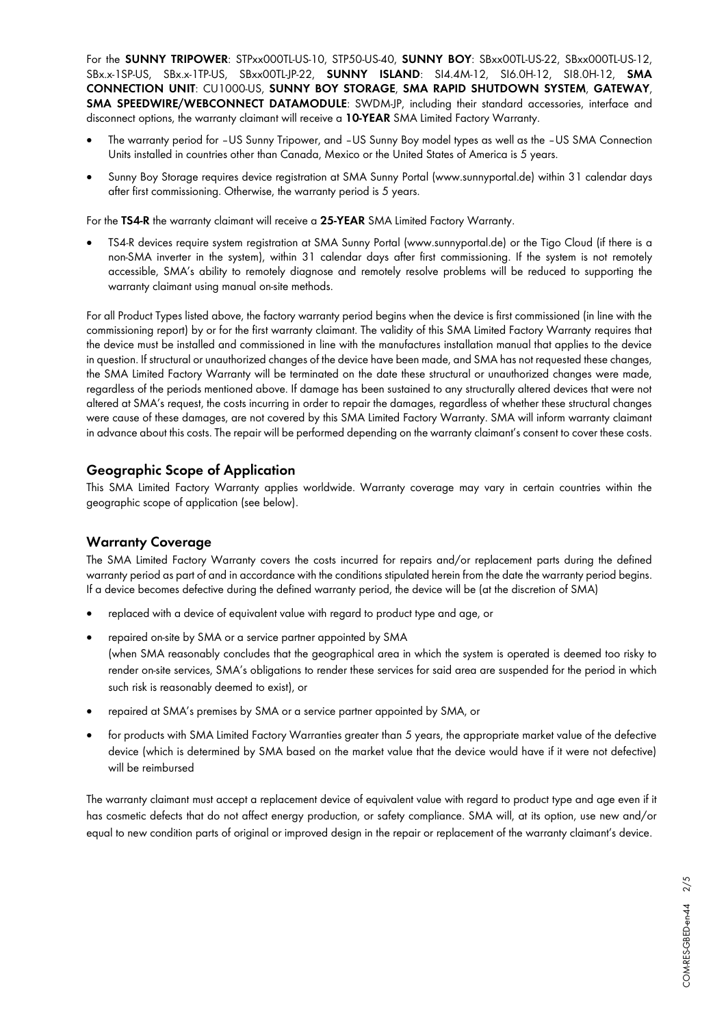For the **SUNNY TRIPOWER**: STPxx000TL-US-10, STP50-US-40, **SUNNY BOY**: SBxx00TL-US-22, SBxx000TL-US-12, SBx.x-1SP-US, SBx.x-1TP-US, SBxx00TL-JP-22, **SUNNY ISLAND**: SI4.4M-12, SI6.0H-12, SI8.0H-12, **SMA CONNECTION UNIT**: CU1000-US, **SUNNY BOY STORAGE**, **SMA RAPID SHUTDOWN SYSTEM**, **GATEWAY**, **SMA SPEEDWIRE/WEBCONNECT DATAMODULE**: SWDM-JP, including their standard accessories, interface and disconnect options, the warranty claimant will receive a **10-YEAR** SMA Limited Factory Warranty.

- The warranty period for –US Sunny Tripower, and –US Sunny Boy model types as well as the –US SMA Connection Units installed in countries other than Canada, Mexico or the United States of America is 5 years.
- Sunny Boy Storage requires device registration at SMA Sunny Portal (www.sunnyportal.de) within 31 calendar days after first commissioning. Otherwise, the warranty period is 5 years.

For the **TS4-R** the warranty claimant will receive a **25-YEAR** SMA Limited Factory Warranty.

• TS4-R devices require system registration at SMA Sunny Portal (www.sunnyportal.de) or the Tigo Cloud (if there is a non-SMA inverter in the system), within 31 calendar days after first commissioning. If the system is not remotely accessible, SMA's ability to remotely diagnose and remotely resolve problems will be reduced to supporting the warranty claimant using manual on-site methods.

For all Product Types listed above, the factory warranty period begins when the device is first commissioned (in line with the commissioning report) by or for the first warranty claimant. The validity of this SMA Limited Factory Warranty requires that the device must be installed and commissioned in line with the manufactures installation manual that applies to the device in question. If structural or unauthorized changes of the device have been made, and SMA has not requested these changes, the SMA Limited Factory Warranty will be terminated on the date these structural or unauthorized changes were made, regardless of the periods mentioned above. If damage has been sustained to any structurally altered devices that were not altered at SMA's request, the costs incurring in order to repair the damages, regardless of whether these structural changes were cause of these damages, are not covered by this SMA Limited Factory Warranty. SMA will inform warranty claimant in advance about this costs. The repair will be performed depending on the warranty claimant's consent to cover these costs.

## **Geographic Scope of Application**

This SMA Limited Factory Warranty applies worldwide. Warranty coverage may vary in certain countries within the geographic scope of application (see below).

## **Warranty Coverage**

The SMA Limited Factory Warranty covers the costs incurred for repairs and/or replacement parts during the defined warranty period as part of and in accordance with the conditions stipulated herein from the date the warranty period begins. If a device becomes defective during the defined warranty period, the device will be (at the discretion of SMA)

- replaced with a device of equivalent value with regard to product type and age, or
- repaired on-site by SMA or a service partner appointed by SMA (when SMA reasonably concludes that the geographical area in which the system is operated is deemed too risky to render on-site services, SMA's obligations to render these services for said area are suspended for the period in which such risk is reasonably deemed to exist), or
- repaired at SMA's premises by SMA or a service partner appointed by SMA, or
- for products with SMA Limited Factory Warranties greater than 5 years, the appropriate market value of the defective device (which is determined by SMA based on the market value that the device would have if it were not defective) will be reimbursed

The warranty claimant must accept a replacement device of equivalent value with regard to product type and age even if it has cosmetic defects that do not affect energy production, or safety compliance. SMA will, at its option, use new and/or equal to new condition parts of original or improved design in the repair or replacement of the warranty claimant's device.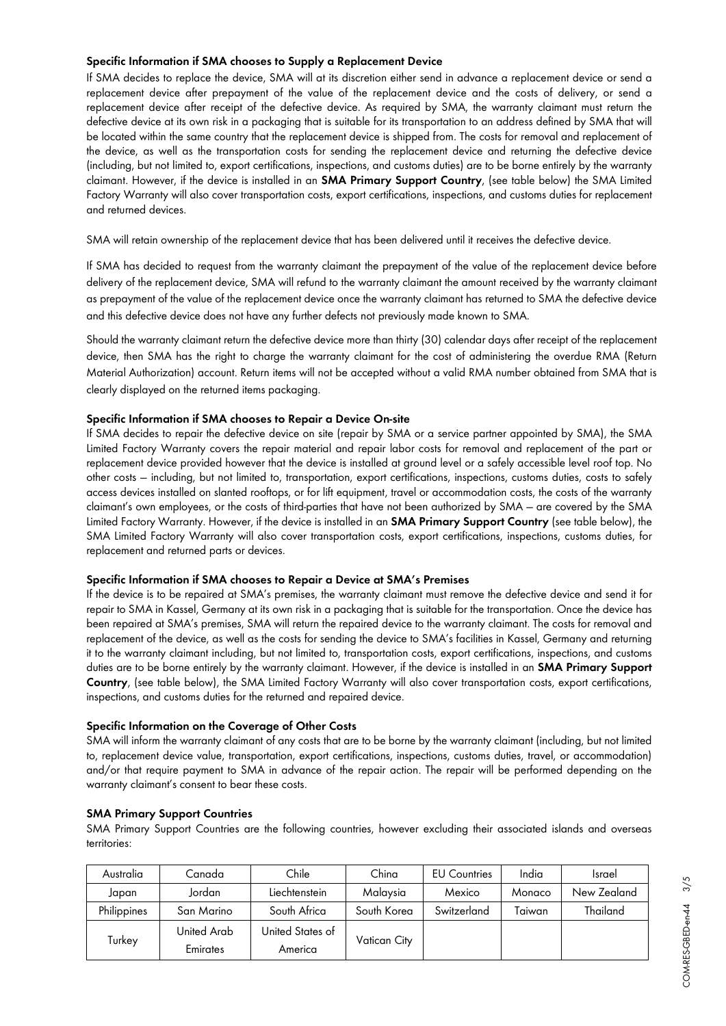#### **Specific Information if SMA chooses to Supply a Replacement Device**

If SMA decides to replace the device, SMA will at its discretion either send in advance a replacement device or send a replacement device after prepayment of the value of the replacement device and the costs of delivery, or send a replacement device after receipt of the defective device. As required by SMA, the warranty claimant must return the defective device at its own risk in a packaging that is suitable for its transportation to an address defined by SMA that will be located within the same country that the replacement device is shipped from. The costs for removal and replacement of the device, as well as the transportation costs for sending the replacement device and returning the defective device (including, but not limited to, export certifications, inspections, and customs duties) are to be borne entirely by the warranty claimant. However, if the device is installed in an **SMA Primary Support Country**, (see table below) the SMA Limited Factory Warranty will also cover transportation costs, export certifications, inspections, and customs duties for replacement and returned devices.

SMA will retain ownership of the replacement device that has been delivered until it receives the defective device.

If SMA has decided to request from the warranty claimant the prepayment of the value of the replacement device before delivery of the replacement device, SMA will refund to the warranty claimant the amount received by the warranty claimant as prepayment of the value of the replacement device once the warranty claimant has returned to SMA the defective device and this defective device does not have any further defects not previously made known to SMA.

Should the warranty claimant return the defective device more than thirty (30) calendar days after receipt of the replacement device, then SMA has the right to charge the warranty claimant for the cost of administering the overdue RMA (Return Material Authorization) account. Return items will not be accepted without a valid RMA number obtained from SMA that is clearly displayed on the returned items packaging.

#### **Specific Information if SMA chooses to Repair a Device On-site**

If SMA decides to repair the defective device on site (repair by SMA or a service partner appointed by SMA), the SMA Limited Factory Warranty covers the repair material and repair labor costs for removal and replacement of the part or replacement device provided however that the device is installed at ground level or a safely accessible level roof top. No other costs — including, but not limited to, transportation, export certifications, inspections, customs duties, costs to safely access devices installed on slanted rooftops, or for lift equipment, travel or accommodation costs, the costs of the warranty claimant's own employees, or the costs of third-parties that have not been authorized by SMA — are covered by the SMA Limited Factory Warranty. However, if the device is installed in an **SMA Primary Support Country** (see table below), the SMA Limited Factory Warranty will also cover transportation costs, export certifications, inspections, customs duties, for replacement and returned parts or devices.

#### **Specific Information if SMA chooses to Repair a Device at SMA's Premises**

If the device is to be repaired at SMA's premises, the warranty claimant must remove the defective device and send it for repair to SMA in Kassel, Germany at its own risk in a packaging that is suitable for the transportation. Once the device has been repaired at SMA's premises, SMA will return the repaired device to the warranty claimant. The costs for removal and replacement of the device, as well as the costs for sending the device to SMA's facilities in Kassel, Germany and returning it to the warranty claimant including, but not limited to, transportation costs, export certifications, inspections, and customs duties are to be borne entirely by the warranty claimant. However, if the device is installed in an **SMA Primary Support Country**, (see table below), the SMA Limited Factory Warranty will also cover transportation costs, export certifications, inspections, and customs duties for the returned and repaired device.

#### **Specific Information on the Coverage of Other Costs**

SMA will inform the warranty claimant of any costs that are to be borne by the warranty claimant (including, but not limited to, replacement device value, transportation, export certifications, inspections, customs duties, travel, or accommodation) and/or that require payment to SMA in advance of the repair action. The repair will be performed depending on the warranty claimant's consent to bear these costs.

#### **SMA Primary Support Countries**

SMA Primary Support Countries are the following countries, however excluding their associated islands and overseas territories:

| Australia   | Canada                  | Chile                       | China        | <b>EU Countries</b> | India  | <b>Israel</b> |
|-------------|-------------------------|-----------------------------|--------------|---------------------|--------|---------------|
| Japan       | Jordan                  | Liechtenstein               | Malaysia     | Mexico              | Monaco | New Zealand   |
| Philippines | San Marino              | South Africa                | South Korea  | Switzerland         | Taiwan | Thailand      |
| Turkey      | United Arab<br>Emirates | United States of<br>America | Vatican City |                     |        |               |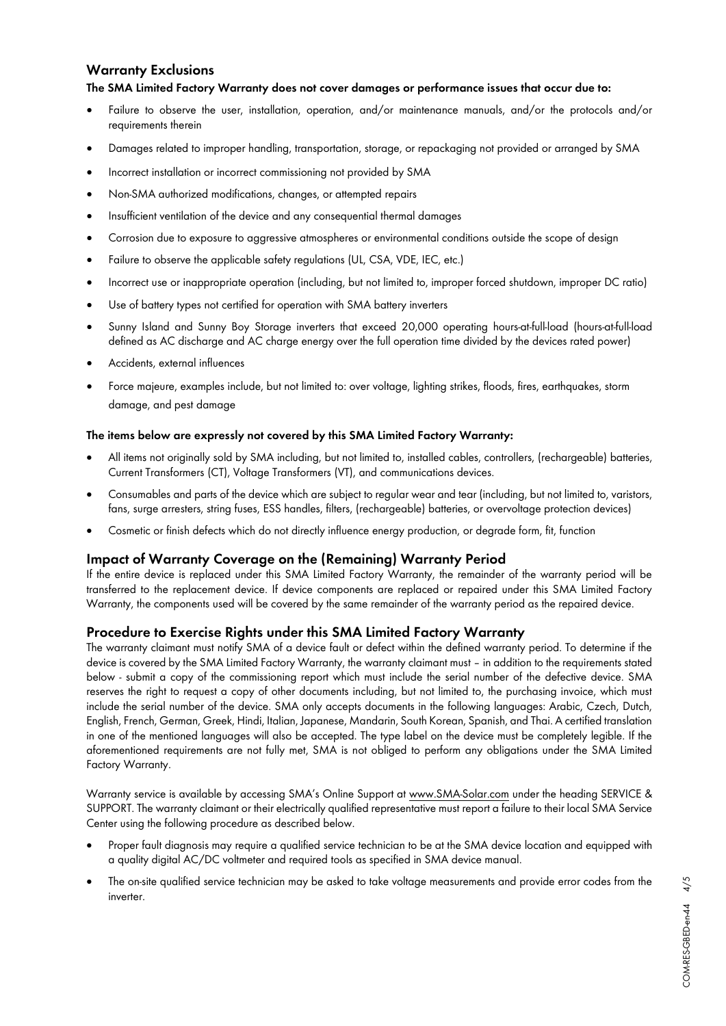## **Warranty Exclusions**

#### **The SMA Limited Factory Warranty does not cover damages or performance issues that occur due to:**

- Failure to observe the user, installation, operation, and/or maintenance manuals, and/or the protocols and/or requirements therein
- Damages related to improper handling, transportation, storage, or repackaging not provided or arranged by SMA
- Incorrect installation or incorrect commissioning not provided by SMA
- Non-SMA authorized modifications, changes, or attempted repairs
- Insufficient ventilation of the device and any consequential thermal damages
- Corrosion due to exposure to aggressive atmospheres or environmental conditions outside the scope of design
- Failure to observe the applicable safety regulations (UL, CSA, VDE, IEC, etc.)
- Incorrect use or inappropriate operation (including, but not limited to, improper forced shutdown, improper DC ratio)
- Use of battery types not certified for operation with SMA battery inverters
- Sunny Island and Sunny Boy Storage inverters that exceed 20,000 operating hours-at-full-load (hours-at-full-load defined as AC discharge and AC charge energy over the full operation time divided by the devices rated power)
- Accidents, external influences
- Force majeure, examples include, but not limited to: over voltage, lighting strikes, floods, fires, earthquakes, storm damage, and pest damage

#### **The items below are expressly not covered by this SMA Limited Factory Warranty:**

- All items not originally sold by SMA including, but not limited to, installed cables, controllers, (rechargeable) batteries, Current Transformers (CT), Voltage Transformers (VT), and communications devices.
- Consumables and parts of the device which are subject to regular wear and tear (including, but not limited to, varistors, fans, surge arresters, string fuses, ESS handles, filters, (rechargeable) batteries, or overvoltage protection devices)
- Cosmetic or finish defects which do not directly influence energy production, or degrade form, fit, function

## **Impact of Warranty Coverage on the (Remaining) Warranty Period**

If the entire device is replaced under this SMA Limited Factory Warranty, the remainder of the warranty period will be transferred to the replacement device. If device components are replaced or repaired under this SMA Limited Factory Warranty, the components used will be covered by the same remainder of the warranty period as the repaired device.

## **Procedure to Exercise Rights under this SMA Limited Factory Warranty**

The warranty claimant must notify SMA of a device fault or defect within the defined warranty period. To determine if the device is covered by the SMA Limited Factory Warranty, the warranty claimant must – in addition to the requirements stated below - submit a copy of the commissioning report which must include the serial number of the defective device. SMA reserves the right to request a copy of other documents including, but not limited to, the purchasing invoice, which must include the serial number of the device. SMA only accepts documents in the following languages: Arabic, Czech, Dutch, English, French, German, Greek, Hindi, Italian, Japanese, Mandarin, South Korean, Spanish, and Thai. A certified translation in one of the mentioned languages will also be accepted. The type label on the device must be completely legible. If the aforementioned requirements are not fully met, SMA is not obliged to perform any obligations under the SMA Limited Factory Warranty.

Warranty service is available by accessing SMA's Online Support at www.SMA-Solar.com under the heading SERVICE & SUPPORT. The warranty claimant or their electrically qualified representative must report a failure to their local SMA Service Center using the following procedure as described below.

- Proper fault diagnosis may require a qualified service technician to be at the SMA device location and equipped with a quality digital AC/DC voltmeter and required tools as specified in SMA device manual.
- The on-site qualified service technician may be asked to take voltage measurements and provide error codes from the inverter.